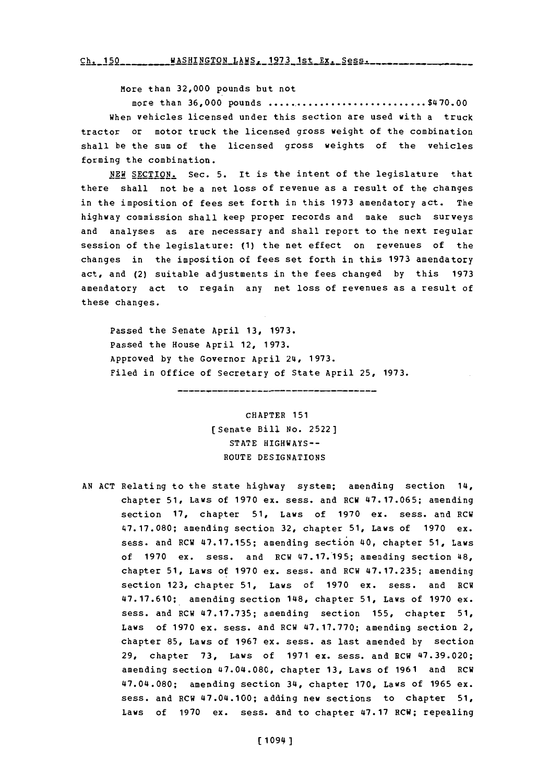Ch. 150 WASHINGTON LAWS, 1973 1st Ex. Sess.

More than **32,000** pounds but not

more than **36,000 pounds................................** \$470.00 when vehicles licensed under this section are used with a truck tractor or motor truck the licensed gross weight of the combination shall be the sum of the licensed gross weights of the vehicles forming the combination.

**NEW** SECTION. Sec. **5.** It is the intent of the legislature that there shall not be a net loss of revenue as a result of the changes in the imposition of fees set forth in this **1973** amendatory act. The highway commission shall keep proper records and make such surveys and analyses as are necessary and shall report to the next regular session of the legislature: **(1)** the net effect on revenues of the changes in the imposition of fees set forth in this **1973** amendatory act, and (2) suitable adjustments in the fees changed **by** this **<sup>1973</sup>** amendatory act to regain any net loss of revenues as a result of these changes.

Passed the Senate April **13, 1973.** Passed the House April 12, **1973.** Approved **by** the Governor April **214, 1973.** Filed in office of Secretary of State April **25, 1973.**

> CHAPTER **151** [Senate Bill **No. 2522] STATE** HIGHWAYS-ROUTE DESIGNATIONS

**AN ACT** Relating to the state highway system; amending section 114, chapter **51,** Laws of **1970 ex.** sess. and RCW **47.17.065;** amending section **17,** chapter **51,** Laws of **1970** ex. sess. and RCW **47. 17.080;** amending section **32,** chapter **51,** Laws of **1970** ex. sess. and RCW **47.17.155;** amending section 40, chapter **51,** Laws of **1970** ex. sess. and RCW **47.17.195;** amending section 48, chapter **51,** Laws of **1970** ex. sess. and RCW **47.17.235;** amending section **123,** chapter **51,** Laws of **1970** ex. sess. and RCW **47.17.610;** amending section 1148, chapter **51,** Laws of **1970** ex. sess. and RCW **47.17.735;** amending section **155,** chapter **51,** Laws of **1970** ex. sess. and RCW **47.17.770;** amending section 2, chapter **85,** Laws of **1967** ex. sess. as last amended **by** section **29,** chapter **73,** Laws of **1971** ex. sess. and RCW **47.39.020;** amending section 47.04.080, chapter **13,** Laws of **1961** and RCW 47.014.080; amending section 34, chapter **170,** Laws of **1965** ex. sess. and RCW 47.04.100; adding new sections to chapter **51,** Laws of **1970** ex. sess. and to chapter **47.17** RCW; repealing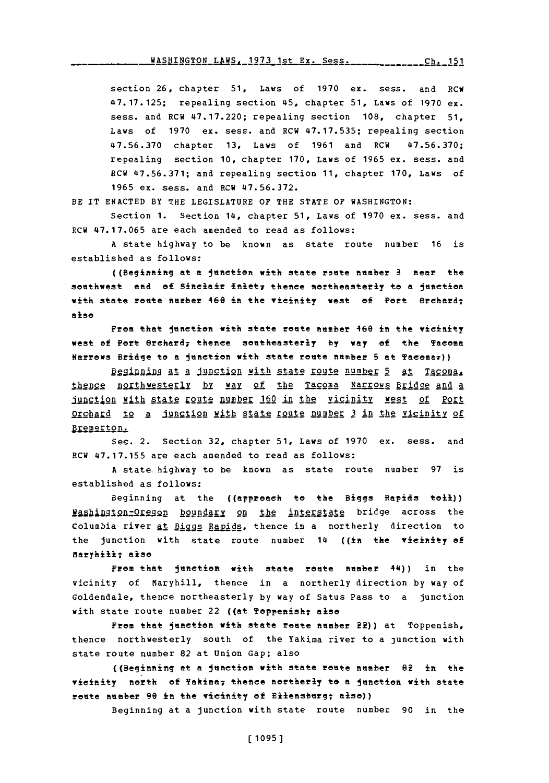section **26,** chapter **51,** Laws of **1970** ex. sess. and RCW **47.17.125;** repealing section 45, chapter **51,** Laws **of 1970** ex. sess. and RCW **47.17.220;** repealing section **108,** chapter **51,** Laws of **1970** ex. sess. and **RCW 47.17.535;** repealing section **47.56.370** chapter **13,** Laws of **1961** and RCW **47.56.370;** repealing section **10,** chapter **170,** Laws of **1965** ex. sess. and RCW **47.56.371;** and repealing section **11,** chapter **170,** Laws of **1965** ex. sess. and RCW **47.56.372.**

BE IT **ENACTED** BY THE **LEGISLATURE** OF THE **STATE** OF WASHINGTON:

Section **1.** Section 14, chapter **51,** Laws of **1970** ex. sess. and RCW **47,17.065** are each amended to read as follows:

**A** state highway to be known as state route number **16** is established as follows:

((Beginning at **a** junetion with state route number **3** near the southwest end of Sinclair inlet<sub>7</sub> thence northeasterly to a junction with state route number 460 in the vicinity west of Port Grchard; **also**

From that junction with state route number 160 in the vicinity west of Port erehardy thence southeasterly **by way of** the Taeoma Narrows Bridge to **a junetion** with state route number **5** at Tacema:))

Beginning at a junction with state route number 5 at Tacoma. thence northwesterly by way of the Tacoma Narrows Bridge and a iunction with state route number 160 in the vicinity west of Port Orchard to a jungtion with state route number 3 in the vicinity of Bremerton.

Sec. 2. Section **32,** chapter **51,** Laws of **1970** ex. sess. and RCW **47.17.155** are each amended to read as follows:

**<sup>A</sup>**state.highway to be known as state route number **97** is established as follows:

Beginning at the ((approach to the Biggs Rapids tell)) Washington=Oregon boundary on the interstate bridge across the Columbia river at Biggs Rapids, thence in a northerly direction to the junction with state route number 14 ((in the vicinity **of** Maryhilly also

**From** that Junction with state route number 44)) in the vicinity of Maryhill, thence in a northerly direction **by** way of Goldendale, thence northeasterly **by** way of Satus Pass to a junction with state route number 22 ( $($ at Toppenish; also

from that junetion with state route number 22)) at Toppenish, thence northwesterly south of the Yakima river to a junction with state route number **82** at Union Gap; also

((Beginning at **a** junction with state route number 82 in the vicinity north **of** Yakima; thesee northerly to a junetion with state route number 90 in the vicinity of Ellensburg; also))

Beginning at a junction with state route number **90** in the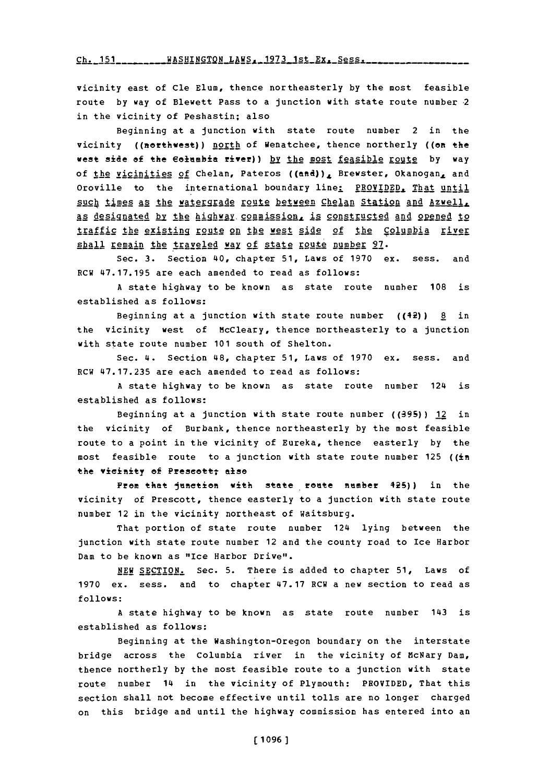Ch. 151\_\_\_\_\_\_\_\_\_\_WASHINGTON\_LAWS. 1973\_1st\_Ex. Sess. \_\_\_\_\_\_

vicinity east of Cle **Elum,** thence northeasterly **by** the most feasible route **by** way of Blewett Pass to a junction with state route number 2 in the vicinity of Peshastin; also

Beginning at a junction with state route number 2 in the vicinity ((northwest)) north of Wenatchee, thence northerly ((on the west side of the Columbia river)) by the most feasible route by way of the vicinities of Chelan, Pateros ((and)), Brewster, Okanogan, and Oroville to the international boundary line: PROVIDED, That until such times as the watergrade route between Chelan Station and Azwell, as designated by the highway commission, is constructed and opened to traffic the existing route on the west side of the Columbia river shall remain the traveled way of state route number 97.

Sec. **3.** Section 40, chapter **51,** Laws of **1970** ex. sess. and RCW **47.17.195** are each amended to read as follows:

**<sup>A</sup>**state highway to be known as state route number **108** is established as follows:

Beginning at a junction with state route number ((42)) **§l** in the vicinity west of McCleary, thence northeasterly to a junction with state route number **101** south of Shelton.

Sec. 4. Section 48, chapter **51,** Laws of **1970** ex. sess. and RCW **47.17.235** are each amended to read as follows:

**A** state highway to be known as state route number 124 is established as follows:

Beginning at a junction with state route number **((39S5))** 12 in the vicinity of Burbank, thence northeasterly **by** the most feasible route to a point in the vicinity of Eureka, thence easterly **by** the most feasible route to a junction with state route number **125** ((in the vicinity of Prescott; also

From that junction with state route number 425)) in the vicinity of Prescott, thence easterly to a junction with state route number 12 in the vicinity northeast of waitsburg.

That portion of state route number 124 lying between the junction with state route number 12 and the county road to Ice Harbor Dam to be known as "Ice Harbor Drive".

**NEW** SECTION. Sec. **5.** There is added to chapter **51,** Laws of **1970** ex. sess. and to chapter **47.17** RCH a new section to read as **follows:**

**<sup>A</sup>**state highway to be known as state route number 143 is established as follows:

Beginning at the Washington-Oregon boundary on the interstate bridge across the Columbia river in the vicinity of McNary Dam, thence northerly **by** the most feasible route to a junction with state route number 14 in the vicinity of Plymouth: PROVIDED, That this section shall not become effective until tolls are no longer charged on this bridge and until the highway commission has entered into an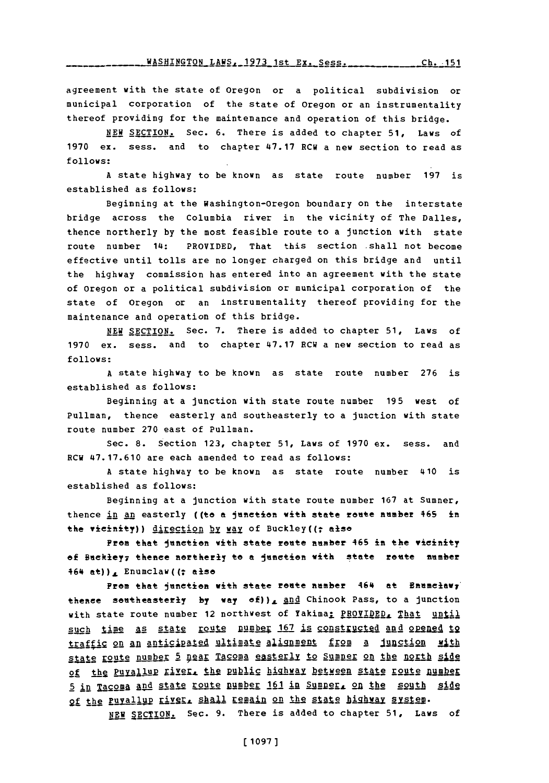agreement with the state of Oregon or a political subdivision or municipal corporation of the state of Oregon or an instrumentality thereof providing for the maintenance and operation of this bridge.

**NEW** SECTION. Sec. **6.** There is added to chapter **51,** Laws of **1970** ex. sess. and to chapter **47.17** RCW a new section to read as **follows:**

**A** state highway to be known as state route number **197** is established as follows:

Beginning at the Washington-Oregon boundary on the interstate bridge across the Columbia river in the vicinity of The Dalles, thence northerly **by** the most feasible route to a junction with state route number 14: PROVIDED, That this section shall not become effective until tolls are no longer charged on this bridge and until the highway commission has entered into an agreement with the state of Oregon or a political subdivision or municipal corporation of the state of Oregon or an instrumentality thereof providing for the maintenance and operation of this bridge.

**NEW** SECTION. Sec. **7.** There is added to chapter **51,** Laws of **1970** ex. sess. and to chapter **47.17** RCW a new section to read as **follows:**

**A** state highway to be known as state route number **276** is established as follows:

Beginning at a junction with state route number **195** west of Pullman, thence easterly and southeasterly to a junction with state route number **270** east of Pullman.

Sec. **8.** Section **123,** chapter **51,** Laws of **1970** ex. sess. and RCW **47.17.610** are each amended to read as follows:

**A** state highway to be known as state route number 410 is established as follows:

Beginning at a junction with state route number **167** at Sumner, thence in an easterly ((to a junction with state route number 465 in the vicinity)) direction by way of Buckley((; alse

*Prom* that Itnnetion with state route number 46S in the **vieiftity** of Buckley<sub>7</sub> thence northerly to a junction with state route number  $464$  at)), Enumclaw((; also

From that junction with state route number 464 at Enumclawy thence southeasterly by way of)), and Chinook Pass, to a junction with state route number 12 northwest of Yakima; PROVIDED, That until such time as state route number 167 is constructed and opened to traffic on an anticipated ultimate alignment from a **junction** with state route number 5 pear Tacoma easterly to Sumner on the north side of the Puyallup river, the public highway between state route number **5 in Tacoma and state route number 161 in Sumner, on the south side** of the Puyallup river, shall remain on the state highway system.

NEW SECTION. Sec. 9. There is added to chapter 51, Laws of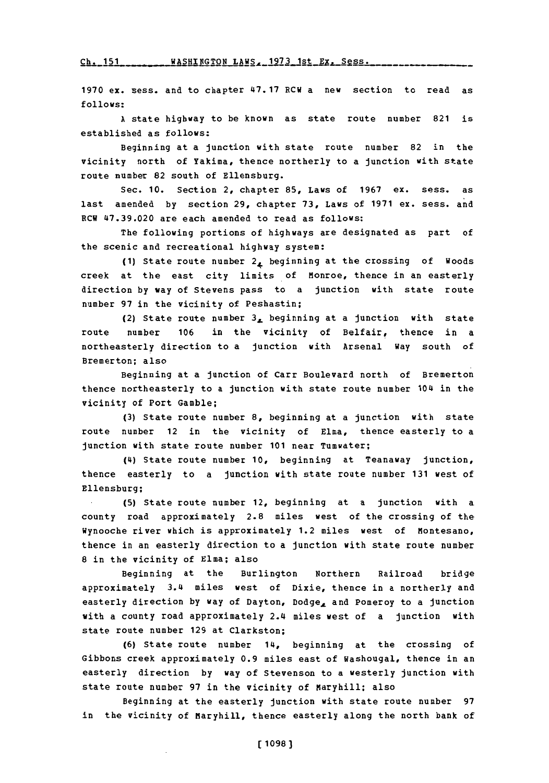**Ch. 151 WASHINGTON LAWS, 1973 1st Ex. Sess.** 

**1970** ex. sess. and to chapter **47.17** RCW a new section to read as **follows:**

**A** state highway to be known as state route number 821 is established as follows:

Beginning at a junction with state route number 82 in the vicinity north of Yakima, thence northerly to a junction with state route number 82 south of Ellensburg.

Sec. **10.** Section 2, chapter **85,** Laws of **1967** ex. sess. as last amended **by** section **29,** chapter **73,** Laws of **1971** ex. sess. and RCW **47.39.020** are each amended to read as follows:

The following portions of highways are designated as part of the scenic and recreational highway system:

(1) State route number 2, beginning at the crossing of Woods creek at the east city limits of Monroe, thence in an easterly direction **by** way of Stevens pass to a junction with state route number **97** in the vicinity of Peshastin;

(2) State route number **3,** beginning at a junction with state route number **106** in the vicinity of Belfair, thence in a northeasterly direction to a junction with Arsenal Way south of Bremerton; also

Beginning at a junction of Carr Boulevard north of Bremerton thence northeasterly to a junction with state route number 104 in the vicinity of Port Gamble;

**(3)** State route number **8,** beginning at a junction with state route number 12 in the vicinity of Elma, thence easterly to a junction with state route number **101** near Tumwater;

(4) State route number **10,** beginning at Teanaway junction, thence easterly to a junction with state route number **131** west of Ellensburg;

**(5)** State route number 12, beginning at a junction with a county road approximately 2.8 miles west of the crossing of the Wynooche river which is approximately 1.2 miles west of Montesano, thence in an easterly direction to a junction with state route number **8** in the vicinity of Elma; also

Beginning at the Burlington Northern Railroad bridge approximately 3.4 miles west of Dixie, thence in a northerly and easterly direction **by** way of Dayton, Dodge, and Pomeroy to a junction with a county road approximately 2.4 miles west of a junction with state route number **129** at Clarkston;

**(6)** State route number 14, beginning at the crossing of Gibbons creek approximately **0.9** miles east of Washougal, thence in an easterly direction **by** way of Stevenson to a westerly junction with state route number **97** in the vicinity of Maryhill; also

Beginning at the easterly junction with state route number **<sup>97</sup>** in the vicinity of Maryhill, thence easterly along the north bank of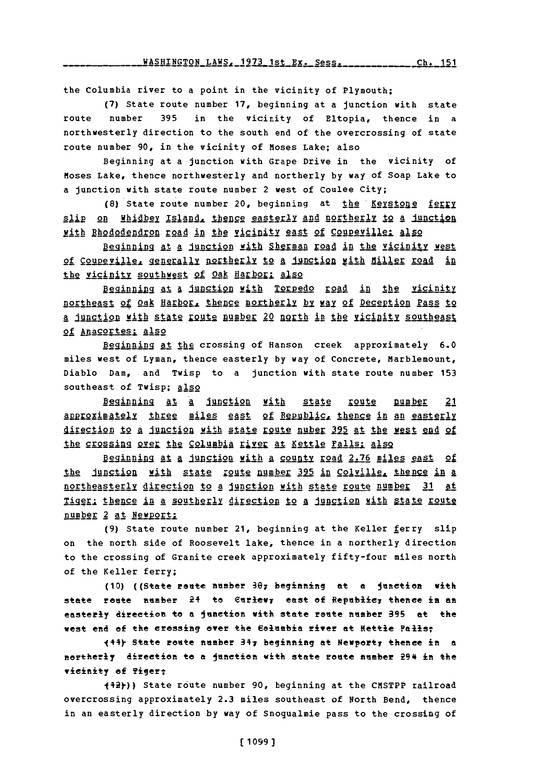the Columbia river to a point in the vicinity of Plymouth;

(7) State route number 17, beginning at a junction with state route number 395 in the vicinity of Eltopia, thence in a northwesterly direction to the south end of the overcrossing of state route number 90, in the vicinity of Moses Lake; also

Beginning at a junction with Grape Drive in the vicinity of Moses Lake, thence northwesterly and northerly by way of Soap Lake to a junction with state route number 2 west of Coulee City;

(8) State route number 20, beginning at the Keystone ferry slip on Whidbey Island, thence easterly and northerly to a junction with Rhododendron road in the vicinity east of Coupeville: also

Beginning at a junction with Sherman road in the vicinity west of Coupeville, generally northerly to a junction with Miller road in the vicinity southwest of Oak Harbor: also

Beginning at a junction with Torpedo road in the vicinity northeast of Oak Harbor, thence northerly by way of Deception Pass to a junction with state route number 20 north in the vicinity southeast of Anacortes; also

Beginning at the crossing of Hanson creek approximately 6.0 miles west of Lyman, thence easterly by way of Concrete, Marblemount, Diablo Dam, and Twisp to a junction with state route number 153 southeast of Twisp; also

Beginning at a junction with state route pumber 21 approximately three miles east of Republic, thence in an easterly direction to a junction with state route nuber 395 at the west end of the crossing over the Columbia river at Kettle Falls; also

Beginning at a junction with a county road 2.76 miles east of the junction with state route number 395 in Colville, thence in a northeasterly direction to a junction with state route number 31 at Tiger: thence in a southerly direction to a junction with state route number 2 at Newport;

(9) State route number 21, beginning at the Keller ferry slip on the north side of Roosevelt lake, thence in a northerly direction to the crossing of Granite creek approximately fifty-four miles north of the Keller ferry;

(10) ((State route number  $\partial \theta$ ; beginning at a junction with state route number 24 to Curlew, east of Republic, thence in an easterly direction to a junction with state route number 395 at the west end of the crossing over the Columbia river at Kettle Palls;

(11) State route number 317 beginning at Newport, thence in a northerly direction to a junction with state route number 294 in the vicinity of Tiger;

(12))) State route number 90, beginning at the CMSTPP railroad overcrossing approximately 2.3 miles southeast of North Bend, thence in an easterly direction by way of Snoqualmie pass to the crossing of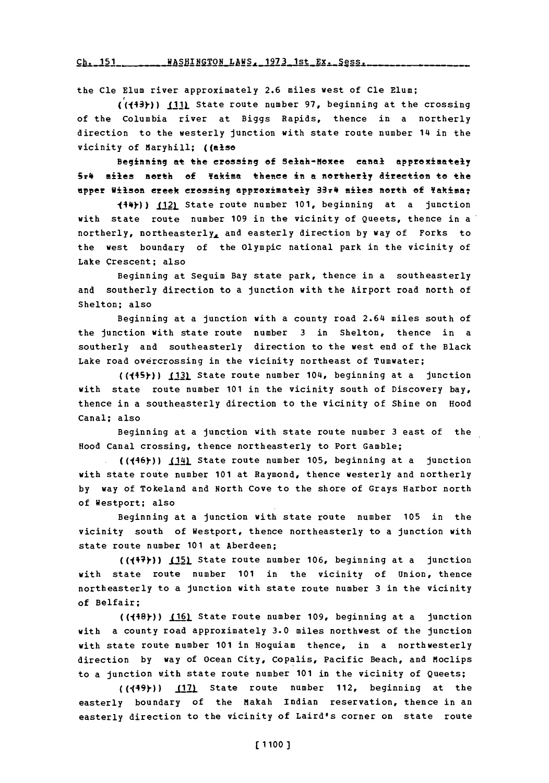Ch. 151 **WASHINGTON LAWS, 1973 1st EX. Sess.** 

the Cle Elum river approximately **2.6** miles west of Cle Elum;

**((143y-)) III)\_** State route number **97,** beginning at the crossing of the Columbia river at Biggs Rapids, thence in a northerly direction to the westerly junction with state route number 14 in the vicinity of Maryhill; ((also

Beginning at the crossing of Selah-Hoxee canal approximately 5*r4* miles north of Yakima thence in a northerly direction to the upper Wilson ereek crossing approximately 33r4 miles north of **Yakima**?

144y)) 2. State route number **101,** beginning at a junction with state route number **109** in the vicinity of Queets, thence in a northerly, northeasterlyL and easterly direction **by** way of Forks to the west boundary of the Olympic national park in the vicinity of Lake Crescent; also

Beginning at Sequim Bay state park, thence in a southeasterly and southerly direction to a junction with the Airport road north of Shelton; also

Beginning at a junction with a county road 2.64 miles south of the junction with state route number **3** in Shelton, thence in a southerly and southeasterly direction to the west end of the Black Lake road overcrossing in the vicinity northeast of Tumwater;

((445)) **(13)** State route number 104, beginning at a junction with state route number **101** in the vicinity south of Discovery bay, thence in a southeasterly direction to the vicinity of Shine on Hood Canal; also

Beginning at a junction with state route number **3** east of the Hood Canal crossing, thence northeasterly to Port Gamble;

.((146y)) **\_I.11!)** State route number **105,** beginning at a junction with state route number **101** at Raymond, thence westerly and northerly **by** way of Tokeland and North Cove to the shore of Grays Harbor north of Westport; also

Beginning at a junction with state route number **105** in the vicinity south of Westport, thence northeasterly to a junction with state route number **101** at Aberdeen;

**)) 1(1. )5** State route number **106,** beginning at a junction with state route number **101** in the vicinity of Union, thence northeasterly to a junction with state route number **3** in the vicinity of Belfair;

**((J48Y)) (161** State route number **109,** beginning at a junction with a county road approximately **3.0** miles northwest of the junction with state route number **<sup>101</sup>**in Hoquiam thence, in a northwesterly direction **by** way of Ocean City, Copalis, Pacific Beach, and Moclips to a junction with state route number **101** in the vicinity of Queets;

**((149y)) 17)** State route number 112, beginning at the easterly boundary of the Makah Indian reservation, thence in an easterly direction to the vicinity of Laird's corner on state route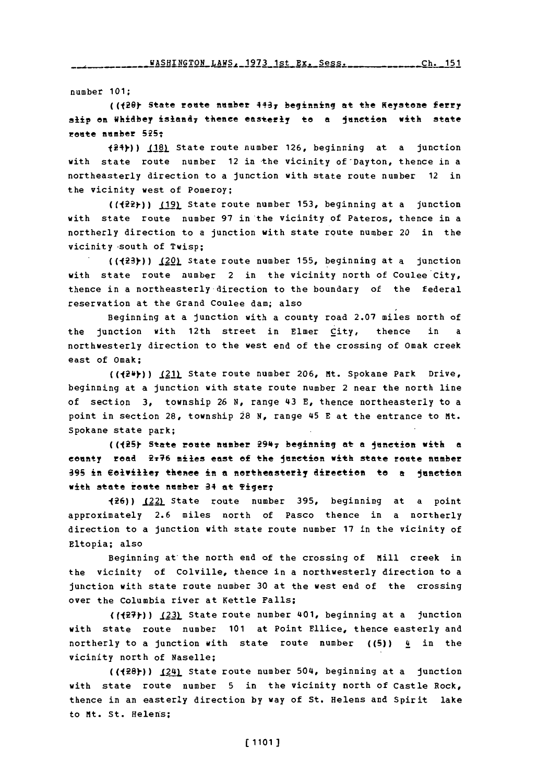number **101;**

(( $20f$  State route number 443; beginning at the Keystone ferry slip on Whidbey island<sub>7</sub> thence easterly to a junction with state route number 525:

124).)) **\_(.12)** State route number **126,** beginning at a junction with state route number 12 in the vicinity of Dayton, thence in a northeasterly direction to a junction with state route number 12 in the vicinity west of Pomeroy;

(( $22$ )) (19) State route number 153, beginning at a junction with state route number **97** in the vicinity of Pateros, thence in a northerly direction to a junction with state route number 20 in the vicinity-south of Twisp;

**((123y)** 10 State route number **155,** beginning at a junction with state route number 2 in the vicinity north of Coulee City, thence in a northeasterly direction to the boundary of the federal reservation at the Grand Coulee dam; also

Beginning at a junction with a county road **2.07** miles north of the junction with 12th street in Elmer *City*, thence in a northwesterly direction to the west end of the crossing of Omak creek east of 0mak;

(( $2\$ <sup>+</sup>)) <u>(21)</u> State route number 206, Mt. Spokane Park Drive, beginning at a junction with state route number 2 near the north line of section **3,** township **26 N,** range 43 **E,** thence northeasterly to a point in section 28, township 28 N, range 45 E at the entrance to Mt. Spokane state park;

(( $125$ ) State route number  $2947$  beginning at a junction with a county road ?46 miles east of the Junction with state route member **39** n Eoiviley thenee in **a** northeasterly **direction to a** junction **with state route number 34 at Tiger;** 

126)) (22) State route number **395,** beginning at a point approximately **2.6** miles north of Pasco thence in a northerly direction to a junction with state route number **17** in the vicinity of Eltopia; also

Beginning at the north end of the crossing of Mill creek in the vicinity of Colville, thence in a northwesterly direction to a junction with state route number **30** at the west end of the crossing over the Columbia river at Kettle Falls;

((<sup>{27}</sup>) (23) State route number 401, beginning at a junction with state route number **101** at Point Ellice, thence easterly and northerly to a junction with state route number  $(5)$ )  $\frac{1}{2}$  in the vicinity north of Naselle;

**((128y))** (241 State route number 504, beginning at a junction with state route number **5** in the vicinity north of Castle Rock, thence in an easterly direction **by** way of St. Helens and spirit lake to Mt. St. Helens;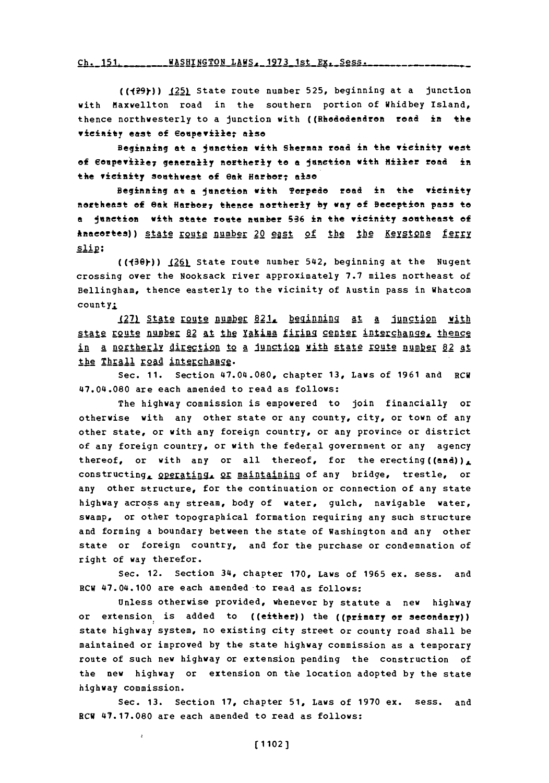Ch. 151. \_\_\_\_\_\_\_WASHINGTON LAWS, 1973 1st Ex. Sess.

((429)) (25) State route number 525, beginning at a junction with Maxwellton road in the southern portion of Whidbey Island, thence northwesterly to a junction with ((Rhododendron road in the **vicinity east of Eoupew±ier also**

Beginning at a junction with Sherman road in the vicinity west of Coupeville; generally northerly to a junction with Miller road in the vicinity southwest of  $\theta$ ak Harbor; also

Beginning at a junction with **Torpedo** road in the wicinity northeast **Of** eatk Harbor;7 thenee northerly **by way of** Deception pass to **a janetion** with state route number Sa6 in the vicinity **southeast of** Anacortes)) state route number 20 east of the the Keystone ferry  $slip:$ 

((430)) <u>(26)</u> State route number 542, beginning at the Nugent crossing over the Nooksack river approximately **7.7** miles northeast of Bellingham, thence easterly to the vicinity of Austin pass in Whatcom count y.

1271 State route number 821, beginning at a junction with state route number 82 at the Yakima firing center interchange, thence in a northerly direction to a junction with state route number 82 at the Thrall road interchange.

Sec. **11.** Section 47.04.080, chapter **13,** Laws of **1961** and RCU 47.04.080 are each amended to read as follows:

The highway commission is empowered to join financially or otherwise with any other state or any county, city, or town of any other state, or with any foreign country, or any province or district of any foreign country, or with the federal government or any agency thereof, or with any or all thereof, for the erecting ((and)), constructing, **Qperating, OF maintaining** of any bridge, trestle, or any other structure, for the continuation or connection of any state highway across any stream, body of water, gulch, navigable water, swamp, or other topographical formation requiring any such structure and forming a boundary between the state of Washington and any other state or foreign country, and for the purchase or condemnation of right of way therefor.

Sec. 12. Section 34, chapter **170,** Laws of **1965** ex. sess. and RCW 47.04.100 are each amended to read as follows:

Unless otherwise provided, whenever **by** statute a new highway or extension is added to ((either)) the ((primary or secondary)) state highway system, no existing city street or county road shall be maintained or improved **by** the state highway commission as a temporary route of such new highway or extension pending the construction of the new highway or extension on the location adopted **by** the state highway commission.

Sec. **13.** Section **17,** chapter **51,** Laws of **1970** ex. sess. and ECU **47.17.080** are each amended to read as follows: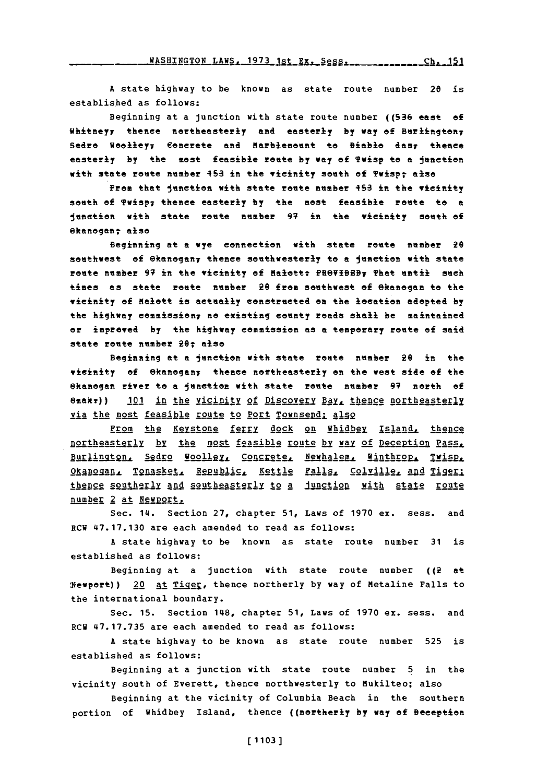WASHINGTON LAWS, 1973 1st Ex. Sess. \_\_\_\_\_\_\_\_\_\_\_\_\_\_\_ Ch. 151

A state highway to be known as state route number 20 is established as follows:

Beginning at a junction with state route number ((536 east of Whitney, thence northeasterly and easterly by way of Burlington, Sedro Woolley; Concrete and Marblemount to Biable dam; thence easterly by the most feasible route by way of Twisp to a junction with state route number 453 in the vicinity south of Twisp; also

Prom that junction with state route number 453 in the vicinity south of Twisp; thence easterly by the most feasible route to a junstion with state route number 97 in the vicinity south of ekanogan: also

Beginning at a wye connection with state route number 20 southwest of @kanogan, thence southwesterly to a junction with state route number 97 in the vicinity of Malott: PROVIBEB7 That until such times as state route number 20 from southwest of Okanogan to the vicinity of Malott is actually constructed on the location adopted by the highway commission, no existing county roads shall be maintained or improved by the highway commission as a temporary route of said state route number 20; also

Beginning at a junction with state route number 20 in the vicinity of Okanogan; thence northeasterly on the west side of the Okanogan river to a junction with state route number 97 north of  $\theta$ makr)) 101 in the vicinity of Discovery Bay, thence northeasterly via the most feasible route to Port Townsend; also

From the Keystone ferry dock on Whidbey Island, thence northeasterly by the most feasible route by way of Deception Pass, Burlington, Sedro Woolley, Concrete, Newhalem, Winthrop, Twisp, Okanogan, Tonasket, Republic, Kettle Falls, Colville, and Tiger; thence southerly and southeasterly to a junction with state route number 2 at Newport.

Sec. 14. Section 27, chapter 51, Laws of 1970 ex. sess. and RCW 47.17.130 are each amended to read as follows:

A state highway to be known as state route number 31 is established as follows:

Beginning at a junction with state route number  $((\hat{z} + a^*)$ Wewport)) 20 at Tiger, thence northerly by way of Metaline Falls to the international boundary.

Sec. 15. Section 148, chapter 51, Laws of 1970 ex. sess. and RCW 47.17.735 are each amended to read as follows:

A state highway to be known as state route number 525 is established as follows:

Beginning at a junction with state route number 5 in the vicinity south of Everett, thence northwesterly to Mukilteo; also

Beginning at the vicinity of Columbia Beach in the southern portion of Whidbey Island, thence ((northerly by way of Beception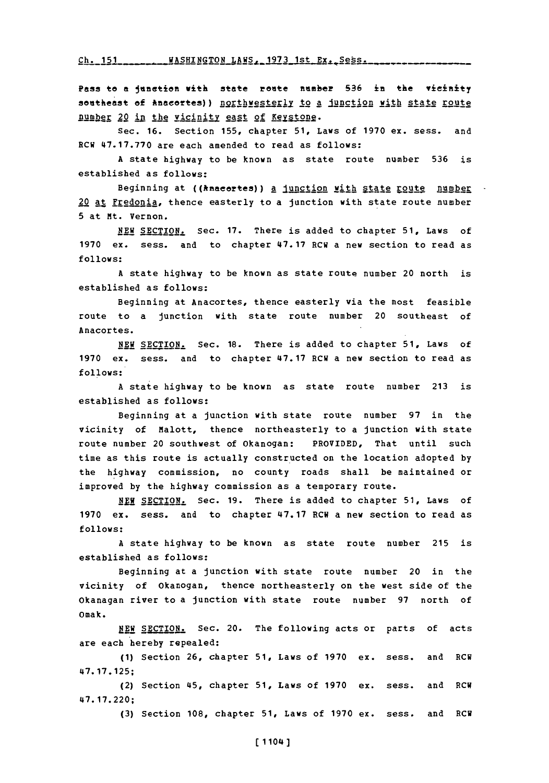Ch- **IS1 WASHTNGTON** LAWS- **1973** 1st Ex. Seks.

Pass to a junction with state route number 536 in the vicinity southeast of Anacortes) } northwesterly to a junction with state route pumber 20 in the vicinity east of Keystone.

Sec. **16.** Section **155,** chapter **51,** Laws of **1970** ex. sess. and ECW **47.17.770** are each amended to read as follows:

**A** state highway to be known as state route number **536** is established as follows:

Beginning at ((knacortes)) a junction with state route number 20 at Fredonia, thence easterly to a junction with state route number **5** at Mt. Vernon.

**NEW** SECTION. Sec. **17.** There is added to chapter **51,** Laws of **1970** ex. sess. and to chapter **47.17** RCW a new section to read as **follows:**

**<sup>A</sup>**state highway to be known as state route number 20 north is established as follows:

Beginning at Anacortes, thence easterly via the most feasible route to a junction with state route number 20 southeast of Anacortes.

**NEW SECTION.** Sec. **18.** There is added to chapter **51,** Laws of **1970** ex. sess. and to chapter **47.17** RCW a new section to read as **follows:**

**<sup>A</sup>**state highway to be known as state route number **213** is established as follows:

Beginning at a junction with state route number **97** in the vicinity of Malott, thence northeasterly to a junction with state route number 20 southwest of Okanogan: PROVIDED, That until such time as this route is actually constructed on the location adopted **by** the highway commission, no county roads shall be maintained or improved **by** the highway commission as a temporary route.

**N. SECTION.** Sec. **19.** There is added to chapter **51,** Laws of **1970** ex. sess. and to chapter **47.17** RCU a new section to read as **follows:**

**A** state highway to be known as state route number **215** is established as follows:

Beginning at a junction with state route number 20 in the vicinity of Okanogan, thence northeasterly on the west side of the Okanagan river to a junction with state route number **97** north of Omak.

NEW SECTION. Sec. 20. The following acts or parts of acts are each hereby repealed:

**(1)** Section **26,** chapter **51,** Laws of **1970** ex. sess. and RCW **47. 17.125;**

(2) Section 45, chapter **51,** Laws of **1970** ex. sess. and ECU **47. 17.220;**

**(3)** Section **108,** chapter **51,** Laws of **1970** ex. sess. and RCU